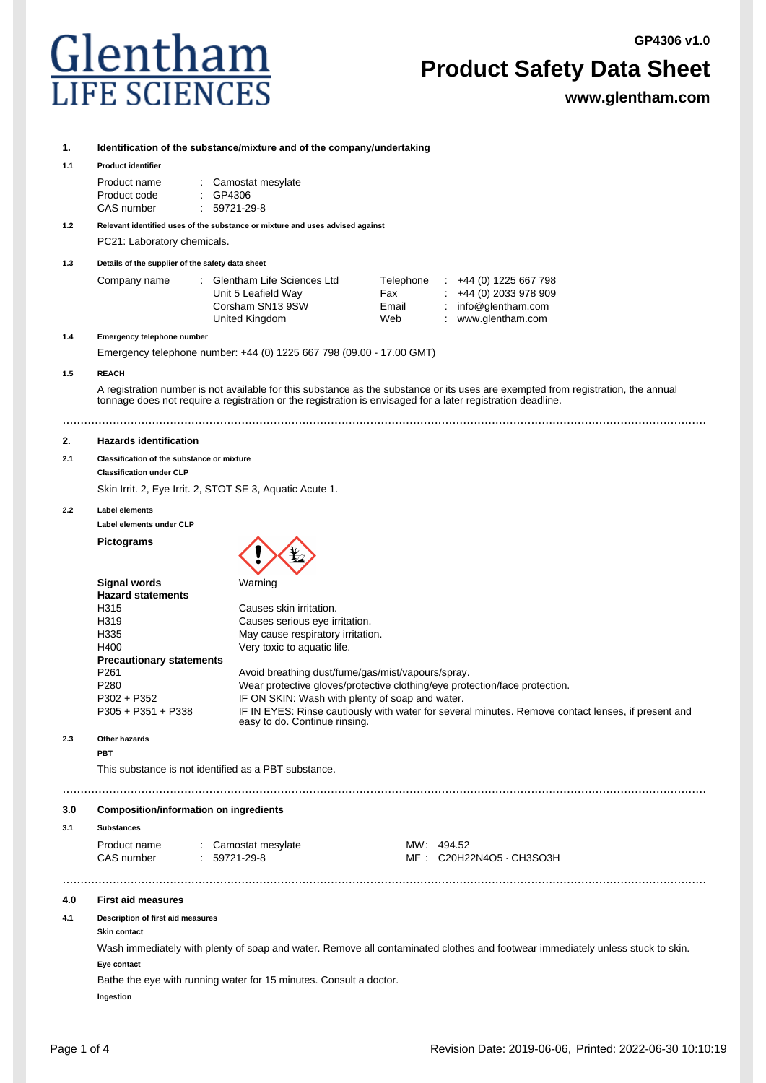**GP4306 v1.0**

# Glentham **LIFE SCIENC**

### **Product Safety Data Sheet**

**www.glentham.com**

#### **1. Identification of the substance/mixture and of the company/undertaking**

#### **1.1 Product identifier**

| Product name | : Camostat mesylate |
|--------------|---------------------|
| Product code | $\therefore$ GP4306 |
| CAS number   | $: 59721-29-8$      |

#### **1.2 Relevant identified uses of the substance or mixture and uses advised against**

PC21: Laboratory chemicals.

#### **1.3 Details of the supplier of the safety data sheet**

| Company name | : Glentham Life Sciences Ltd | Telephone | $\div$ +44 (0) 1225 667 798 |
|--------------|------------------------------|-----------|-----------------------------|
|              | Unit 5 Leafield Way          | Fax       | $\div$ +44 (0) 2033 978 909 |
|              | Corsham SN13 9SW             | Email     | : $info@$ glentham.com      |
|              | United Kingdom               | Web       | www.glentham.com            |

#### **1.4 Emergency telephone number**

Emergency telephone number: +44 (0) 1225 667 798 (09.00 - 17.00 GMT)

#### **1.5 REACH**

A registration number is not available for this substance as the substance or its uses are exempted from registration, the annual tonnage does not require a registration or the registration is envisaged for a later registration deadline.

....................................................................................................................................................................................

#### **2. Hazards identification**

#### **2.1 Classification of the substance or mixture**

**Classification under CLP**

Skin Irrit. 2, Eye Irrit. 2, STOT SE 3, Aquatic Acute 1.

**2.2 Label elements**

**Label elements under CLP**

**Pictograms**



| - - - - - - - - - - -           | .                                                                                                                                   |
|---------------------------------|-------------------------------------------------------------------------------------------------------------------------------------|
| <b>Hazard statements</b>        |                                                                                                                                     |
| H315                            | Causes skin irritation.                                                                                                             |
| H319                            | Causes serious eye irritation.                                                                                                      |
| H335                            | May cause respiratory irritation.                                                                                                   |
| H400                            | Very toxic to aquatic life.                                                                                                         |
| <b>Precautionary statements</b> |                                                                                                                                     |
| P <sub>261</sub>                | Avoid breathing dust/fume/gas/mist/vapours/spray.                                                                                   |
| P <sub>280</sub>                | Wear protective gloves/protective clothing/eye protection/face protection.                                                          |
| $P302 + P352$                   | IF ON SKIN: Wash with plenty of soap and water.                                                                                     |
| $P305 + P351 + P338$            | IF IN EYES: Rinse cautiously with water for several minutes. Remove contact lenses, if present and<br>easy to do. Continue rinsing. |
| Other hazards                   |                                                                                                                                     |

#### **2.3 Other hazards**

**PBT**

This substance is not identified as a PBT substance.

#### ....................................................................................................................................................................................

#### **3.0 Composition/information on ingredients**

#### **3.1 Substances**

| Product name | Camostat mesylate |  |
|--------------|-------------------|--|
| CAS number   | 59721-29-8        |  |

 $MW: 494.52$ MF : C20H22N4O5 · CH3SO3H

#### **4.0 First aid measures**

#### **4.1 Description of first aid measures**

**Skin contact**

Wash immediately with plenty of soap and water. Remove all contaminated clothes and footwear immediately unless stuck to skin. **Eye contact**

....................................................................................................................................................................................

Bathe the eye with running water for 15 minutes. Consult a doctor. **Ingestion**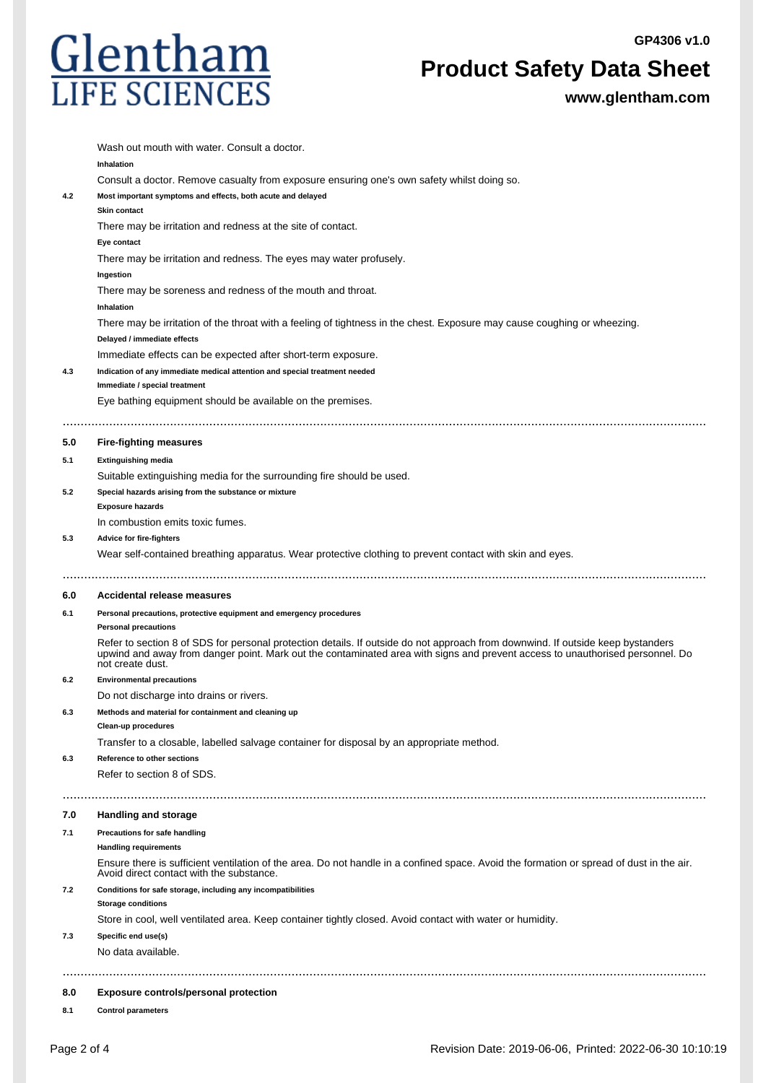**GP4306 v1.0**



**Product Safety Data Sheet**

**www.glentham.com**

|     | Wash out mouth with water. Consult a doctor.                                                                                                                                                                                                                                         |
|-----|--------------------------------------------------------------------------------------------------------------------------------------------------------------------------------------------------------------------------------------------------------------------------------------|
|     | Inhalation                                                                                                                                                                                                                                                                           |
|     | Consult a doctor. Remove casualty from exposure ensuring one's own safety whilst doing so.                                                                                                                                                                                           |
| 4.2 | Most important symptoms and effects, both acute and delayed                                                                                                                                                                                                                          |
|     | <b>Skin contact</b>                                                                                                                                                                                                                                                                  |
|     | There may be irritation and redness at the site of contact.                                                                                                                                                                                                                          |
|     | Eye contact                                                                                                                                                                                                                                                                          |
|     | There may be irritation and redness. The eyes may water profusely.                                                                                                                                                                                                                   |
|     | Ingestion                                                                                                                                                                                                                                                                            |
|     | There may be soreness and redness of the mouth and throat.                                                                                                                                                                                                                           |
|     | Inhalation                                                                                                                                                                                                                                                                           |
|     | There may be irritation of the throat with a feeling of tightness in the chest. Exposure may cause coughing or wheezing.                                                                                                                                                             |
|     | Delayed / immediate effects                                                                                                                                                                                                                                                          |
|     | Immediate effects can be expected after short-term exposure.<br>Indication of any immediate medical attention and special treatment needed                                                                                                                                           |
| 4.3 | Immediate / special treatment                                                                                                                                                                                                                                                        |
|     | Eye bathing equipment should be available on the premises.                                                                                                                                                                                                                           |
|     |                                                                                                                                                                                                                                                                                      |
|     |                                                                                                                                                                                                                                                                                      |
| 5.0 | <b>Fire-fighting measures</b>                                                                                                                                                                                                                                                        |
| 5.1 | <b>Extinguishing media</b>                                                                                                                                                                                                                                                           |
|     | Suitable extinguishing media for the surrounding fire should be used.                                                                                                                                                                                                                |
| 5.2 | Special hazards arising from the substance or mixture<br><b>Exposure hazards</b>                                                                                                                                                                                                     |
|     | In combustion emits toxic fumes.                                                                                                                                                                                                                                                     |
| 5.3 | <b>Advice for fire-fighters</b>                                                                                                                                                                                                                                                      |
|     | Wear self-contained breathing apparatus. Wear protective clothing to prevent contact with skin and eyes.                                                                                                                                                                             |
|     |                                                                                                                                                                                                                                                                                      |
|     |                                                                                                                                                                                                                                                                                      |
| 6.0 | Accidental release measures                                                                                                                                                                                                                                                          |
| 6.1 | Personal precautions, protective equipment and emergency procedures                                                                                                                                                                                                                  |
|     | <b>Personal precautions</b>                                                                                                                                                                                                                                                          |
|     | Refer to section 8 of SDS for personal protection details. If outside do not approach from downwind. If outside keep bystanders<br>upwind and away from danger point. Mark out the contaminated area with signs and prevent access to unauthorised personnel. Do<br>not create dust. |
| 6.2 | <b>Environmental precautions</b>                                                                                                                                                                                                                                                     |
|     | Do not discharge into drains or rivers.                                                                                                                                                                                                                                              |
| 6.3 | Methods and material for containment and cleaning up                                                                                                                                                                                                                                 |
|     | Clean-up procedures                                                                                                                                                                                                                                                                  |
|     | Transfer to a closable, labelled salvage container for disposal by an appropriate method.                                                                                                                                                                                            |
| 6.3 | Reference to other sections                                                                                                                                                                                                                                                          |
|     | Refer to section 8 of SDS.                                                                                                                                                                                                                                                           |
|     |                                                                                                                                                                                                                                                                                      |
| 7.0 | <b>Handling and storage</b>                                                                                                                                                                                                                                                          |
| 7.1 | Precautions for safe handling                                                                                                                                                                                                                                                        |
|     | <b>Handling requirements</b>                                                                                                                                                                                                                                                         |
|     | Ensure there is sufficient ventilation of the area. Do not handle in a confined space. Avoid the formation or spread of dust in the air.<br>Avoid direct contact with the substance.                                                                                                 |
| 7.2 | Conditions for safe storage, including any incompatibilities<br><b>Storage conditions</b>                                                                                                                                                                                            |
|     | Store in cool, well ventilated area. Keep container tightly closed. Avoid contact with water or humidity.                                                                                                                                                                            |
| 7.3 | Specific end use(s)                                                                                                                                                                                                                                                                  |
|     | No data available.                                                                                                                                                                                                                                                                   |
|     |                                                                                                                                                                                                                                                                                      |
| 8.0 | Exposure controls/personal protection                                                                                                                                                                                                                                                |
| 8.1 | <b>Control parameters</b>                                                                                                                                                                                                                                                            |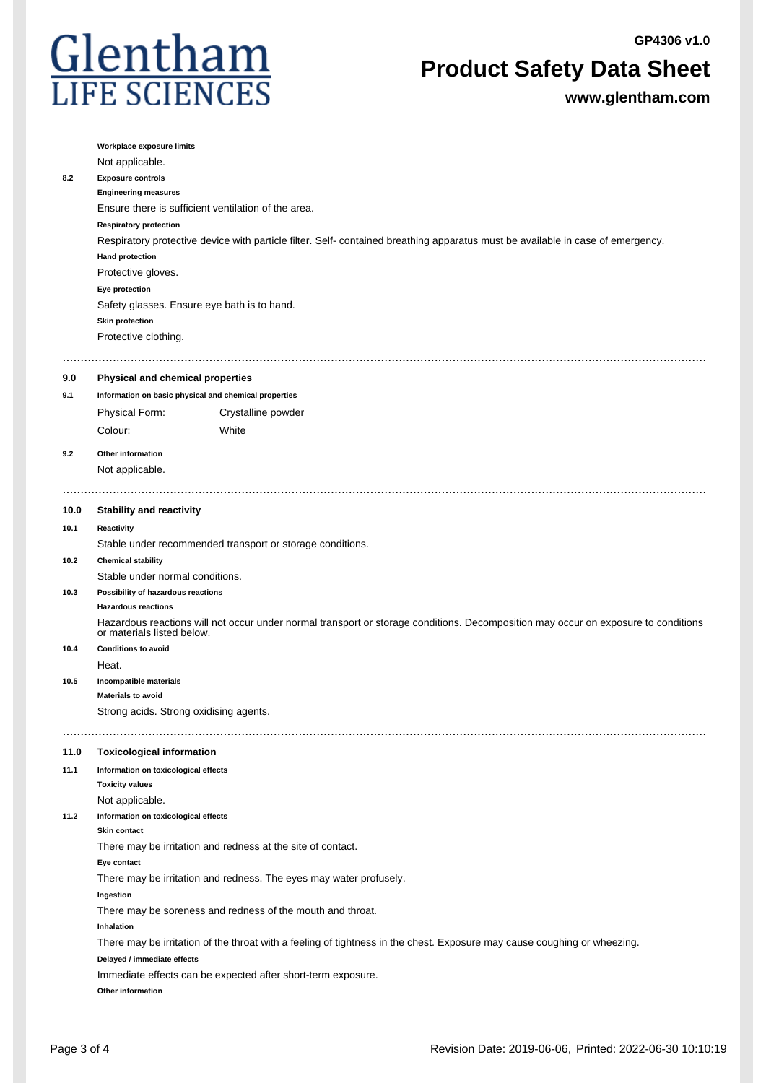**GP4306 v1.0**



**Product Safety Data Sheet**

**www.glentham.com**

| Respiratory protective device with particle filter. Self- contained breathing apparatus must be available in case of emergency.<br><b>Hand protection</b><br>Protective gloves.<br>Eye protection<br>Safety glasses. Ensure eye bath is to hand.<br><b>Skin protection</b><br>Protective clothing.<br><br><b>Physical and chemical properties</b><br>9.0<br>Information on basic physical and chemical properties<br>9.1<br><b>Physical Form:</b><br>Crystalline powder<br>Colour:<br>White<br>Other information<br>9.2<br>Not applicable.<br><b>Stability and reactivity</b><br>10.0<br>Reactivity<br>10.1<br>Stable under recommended transport or storage conditions.<br><b>Chemical stability</b><br>10.2<br>Stable under normal conditions.<br>Possibility of hazardous reactions<br>10.3<br><b>Hazardous reactions</b><br>Hazardous reactions will not occur under normal transport or storage conditions. Decomposition may occur on exposure to conditions<br>or materials listed below.<br><b>Conditions to avoid</b><br>10.4<br>Heat.<br>10.5<br>Incompatible materials<br><b>Materials to avoid</b><br>Strong acids. Strong oxidising agents.<br>11.0<br><b>Toxicological information</b><br>Information on toxicological effects<br>11.1<br><b>Toxicity values</b><br>Not applicable.<br>Information on toxicological effects<br>11.2<br><b>Skin contact</b><br>There may be irritation and redness at the site of contact.<br>Eye contact<br>There may be irritation and redness. The eyes may water profusely.<br>Ingestion<br>There may be soreness and redness of the mouth and throat.<br>Inhalation<br>There may be irritation of the throat with a feeling of tightness in the chest. Exposure may cause coughing or wheezing.<br>Delayed / immediate effects<br>Immediate effects can be expected after short-term exposure. | 8.2 | Workplace exposure limits<br>Not applicable.<br><b>Exposure controls</b><br><b>Engineering measures</b><br><b>Respiratory protection</b> | Ensure there is sufficient ventilation of the area. |
|--------------------------------------------------------------------------------------------------------------------------------------------------------------------------------------------------------------------------------------------------------------------------------------------------------------------------------------------------------------------------------------------------------------------------------------------------------------------------------------------------------------------------------------------------------------------------------------------------------------------------------------------------------------------------------------------------------------------------------------------------------------------------------------------------------------------------------------------------------------------------------------------------------------------------------------------------------------------------------------------------------------------------------------------------------------------------------------------------------------------------------------------------------------------------------------------------------------------------------------------------------------------------------------------------------------------------------------------------------------------------------------------------------------------------------------------------------------------------------------------------------------------------------------------------------------------------------------------------------------------------------------------------------------------------------------------------------------------------------------------------------------------------------------------------------------------------------------------------|-----|------------------------------------------------------------------------------------------------------------------------------------------|-----------------------------------------------------|
|                                                                                                                                                                                                                                                                                                                                                                                                                                                                                                                                                                                                                                                                                                                                                                                                                                                                                                                                                                                                                                                                                                                                                                                                                                                                                                                                                                                                                                                                                                                                                                                                                                                                                                                                                                                                                                                  |     |                                                                                                                                          |                                                     |
|                                                                                                                                                                                                                                                                                                                                                                                                                                                                                                                                                                                                                                                                                                                                                                                                                                                                                                                                                                                                                                                                                                                                                                                                                                                                                                                                                                                                                                                                                                                                                                                                                                                                                                                                                                                                                                                  |     |                                                                                                                                          |                                                     |
|                                                                                                                                                                                                                                                                                                                                                                                                                                                                                                                                                                                                                                                                                                                                                                                                                                                                                                                                                                                                                                                                                                                                                                                                                                                                                                                                                                                                                                                                                                                                                                                                                                                                                                                                                                                                                                                  |     |                                                                                                                                          |                                                     |
|                                                                                                                                                                                                                                                                                                                                                                                                                                                                                                                                                                                                                                                                                                                                                                                                                                                                                                                                                                                                                                                                                                                                                                                                                                                                                                                                                                                                                                                                                                                                                                                                                                                                                                                                                                                                                                                  |     |                                                                                                                                          |                                                     |
|                                                                                                                                                                                                                                                                                                                                                                                                                                                                                                                                                                                                                                                                                                                                                                                                                                                                                                                                                                                                                                                                                                                                                                                                                                                                                                                                                                                                                                                                                                                                                                                                                                                                                                                                                                                                                                                  |     |                                                                                                                                          |                                                     |
|                                                                                                                                                                                                                                                                                                                                                                                                                                                                                                                                                                                                                                                                                                                                                                                                                                                                                                                                                                                                                                                                                                                                                                                                                                                                                                                                                                                                                                                                                                                                                                                                                                                                                                                                                                                                                                                  |     |                                                                                                                                          |                                                     |
|                                                                                                                                                                                                                                                                                                                                                                                                                                                                                                                                                                                                                                                                                                                                                                                                                                                                                                                                                                                                                                                                                                                                                                                                                                                                                                                                                                                                                                                                                                                                                                                                                                                                                                                                                                                                                                                  |     |                                                                                                                                          |                                                     |
|                                                                                                                                                                                                                                                                                                                                                                                                                                                                                                                                                                                                                                                                                                                                                                                                                                                                                                                                                                                                                                                                                                                                                                                                                                                                                                                                                                                                                                                                                                                                                                                                                                                                                                                                                                                                                                                  |     |                                                                                                                                          |                                                     |
|                                                                                                                                                                                                                                                                                                                                                                                                                                                                                                                                                                                                                                                                                                                                                                                                                                                                                                                                                                                                                                                                                                                                                                                                                                                                                                                                                                                                                                                                                                                                                                                                                                                                                                                                                                                                                                                  |     |                                                                                                                                          |                                                     |
|                                                                                                                                                                                                                                                                                                                                                                                                                                                                                                                                                                                                                                                                                                                                                                                                                                                                                                                                                                                                                                                                                                                                                                                                                                                                                                                                                                                                                                                                                                                                                                                                                                                                                                                                                                                                                                                  |     |                                                                                                                                          |                                                     |
|                                                                                                                                                                                                                                                                                                                                                                                                                                                                                                                                                                                                                                                                                                                                                                                                                                                                                                                                                                                                                                                                                                                                                                                                                                                                                                                                                                                                                                                                                                                                                                                                                                                                                                                                                                                                                                                  |     |                                                                                                                                          |                                                     |
|                                                                                                                                                                                                                                                                                                                                                                                                                                                                                                                                                                                                                                                                                                                                                                                                                                                                                                                                                                                                                                                                                                                                                                                                                                                                                                                                                                                                                                                                                                                                                                                                                                                                                                                                                                                                                                                  |     |                                                                                                                                          |                                                     |
|                                                                                                                                                                                                                                                                                                                                                                                                                                                                                                                                                                                                                                                                                                                                                                                                                                                                                                                                                                                                                                                                                                                                                                                                                                                                                                                                                                                                                                                                                                                                                                                                                                                                                                                                                                                                                                                  |     |                                                                                                                                          |                                                     |
|                                                                                                                                                                                                                                                                                                                                                                                                                                                                                                                                                                                                                                                                                                                                                                                                                                                                                                                                                                                                                                                                                                                                                                                                                                                                                                                                                                                                                                                                                                                                                                                                                                                                                                                                                                                                                                                  |     |                                                                                                                                          |                                                     |
|                                                                                                                                                                                                                                                                                                                                                                                                                                                                                                                                                                                                                                                                                                                                                                                                                                                                                                                                                                                                                                                                                                                                                                                                                                                                                                                                                                                                                                                                                                                                                                                                                                                                                                                                                                                                                                                  |     |                                                                                                                                          |                                                     |
|                                                                                                                                                                                                                                                                                                                                                                                                                                                                                                                                                                                                                                                                                                                                                                                                                                                                                                                                                                                                                                                                                                                                                                                                                                                                                                                                                                                                                                                                                                                                                                                                                                                                                                                                                                                                                                                  |     |                                                                                                                                          |                                                     |
|                                                                                                                                                                                                                                                                                                                                                                                                                                                                                                                                                                                                                                                                                                                                                                                                                                                                                                                                                                                                                                                                                                                                                                                                                                                                                                                                                                                                                                                                                                                                                                                                                                                                                                                                                                                                                                                  |     |                                                                                                                                          |                                                     |
|                                                                                                                                                                                                                                                                                                                                                                                                                                                                                                                                                                                                                                                                                                                                                                                                                                                                                                                                                                                                                                                                                                                                                                                                                                                                                                                                                                                                                                                                                                                                                                                                                                                                                                                                                                                                                                                  |     |                                                                                                                                          |                                                     |
|                                                                                                                                                                                                                                                                                                                                                                                                                                                                                                                                                                                                                                                                                                                                                                                                                                                                                                                                                                                                                                                                                                                                                                                                                                                                                                                                                                                                                                                                                                                                                                                                                                                                                                                                                                                                                                                  |     |                                                                                                                                          |                                                     |
|                                                                                                                                                                                                                                                                                                                                                                                                                                                                                                                                                                                                                                                                                                                                                                                                                                                                                                                                                                                                                                                                                                                                                                                                                                                                                                                                                                                                                                                                                                                                                                                                                                                                                                                                                                                                                                                  |     |                                                                                                                                          |                                                     |
|                                                                                                                                                                                                                                                                                                                                                                                                                                                                                                                                                                                                                                                                                                                                                                                                                                                                                                                                                                                                                                                                                                                                                                                                                                                                                                                                                                                                                                                                                                                                                                                                                                                                                                                                                                                                                                                  |     |                                                                                                                                          |                                                     |
|                                                                                                                                                                                                                                                                                                                                                                                                                                                                                                                                                                                                                                                                                                                                                                                                                                                                                                                                                                                                                                                                                                                                                                                                                                                                                                                                                                                                                                                                                                                                                                                                                                                                                                                                                                                                                                                  |     |                                                                                                                                          |                                                     |
|                                                                                                                                                                                                                                                                                                                                                                                                                                                                                                                                                                                                                                                                                                                                                                                                                                                                                                                                                                                                                                                                                                                                                                                                                                                                                                                                                                                                                                                                                                                                                                                                                                                                                                                                                                                                                                                  |     |                                                                                                                                          |                                                     |
|                                                                                                                                                                                                                                                                                                                                                                                                                                                                                                                                                                                                                                                                                                                                                                                                                                                                                                                                                                                                                                                                                                                                                                                                                                                                                                                                                                                                                                                                                                                                                                                                                                                                                                                                                                                                                                                  |     |                                                                                                                                          |                                                     |
|                                                                                                                                                                                                                                                                                                                                                                                                                                                                                                                                                                                                                                                                                                                                                                                                                                                                                                                                                                                                                                                                                                                                                                                                                                                                                                                                                                                                                                                                                                                                                                                                                                                                                                                                                                                                                                                  |     |                                                                                                                                          |                                                     |
|                                                                                                                                                                                                                                                                                                                                                                                                                                                                                                                                                                                                                                                                                                                                                                                                                                                                                                                                                                                                                                                                                                                                                                                                                                                                                                                                                                                                                                                                                                                                                                                                                                                                                                                                                                                                                                                  |     |                                                                                                                                          |                                                     |
|                                                                                                                                                                                                                                                                                                                                                                                                                                                                                                                                                                                                                                                                                                                                                                                                                                                                                                                                                                                                                                                                                                                                                                                                                                                                                                                                                                                                                                                                                                                                                                                                                                                                                                                                                                                                                                                  |     |                                                                                                                                          |                                                     |
|                                                                                                                                                                                                                                                                                                                                                                                                                                                                                                                                                                                                                                                                                                                                                                                                                                                                                                                                                                                                                                                                                                                                                                                                                                                                                                                                                                                                                                                                                                                                                                                                                                                                                                                                                                                                                                                  |     |                                                                                                                                          |                                                     |
|                                                                                                                                                                                                                                                                                                                                                                                                                                                                                                                                                                                                                                                                                                                                                                                                                                                                                                                                                                                                                                                                                                                                                                                                                                                                                                                                                                                                                                                                                                                                                                                                                                                                                                                                                                                                                                                  |     |                                                                                                                                          |                                                     |
|                                                                                                                                                                                                                                                                                                                                                                                                                                                                                                                                                                                                                                                                                                                                                                                                                                                                                                                                                                                                                                                                                                                                                                                                                                                                                                                                                                                                                                                                                                                                                                                                                                                                                                                                                                                                                                                  |     |                                                                                                                                          |                                                     |
|                                                                                                                                                                                                                                                                                                                                                                                                                                                                                                                                                                                                                                                                                                                                                                                                                                                                                                                                                                                                                                                                                                                                                                                                                                                                                                                                                                                                                                                                                                                                                                                                                                                                                                                                                                                                                                                  |     |                                                                                                                                          |                                                     |
|                                                                                                                                                                                                                                                                                                                                                                                                                                                                                                                                                                                                                                                                                                                                                                                                                                                                                                                                                                                                                                                                                                                                                                                                                                                                                                                                                                                                                                                                                                                                                                                                                                                                                                                                                                                                                                                  |     |                                                                                                                                          |                                                     |
|                                                                                                                                                                                                                                                                                                                                                                                                                                                                                                                                                                                                                                                                                                                                                                                                                                                                                                                                                                                                                                                                                                                                                                                                                                                                                                                                                                                                                                                                                                                                                                                                                                                                                                                                                                                                                                                  |     |                                                                                                                                          |                                                     |
|                                                                                                                                                                                                                                                                                                                                                                                                                                                                                                                                                                                                                                                                                                                                                                                                                                                                                                                                                                                                                                                                                                                                                                                                                                                                                                                                                                                                                                                                                                                                                                                                                                                                                                                                                                                                                                                  |     |                                                                                                                                          |                                                     |
|                                                                                                                                                                                                                                                                                                                                                                                                                                                                                                                                                                                                                                                                                                                                                                                                                                                                                                                                                                                                                                                                                                                                                                                                                                                                                                                                                                                                                                                                                                                                                                                                                                                                                                                                                                                                                                                  |     |                                                                                                                                          |                                                     |
|                                                                                                                                                                                                                                                                                                                                                                                                                                                                                                                                                                                                                                                                                                                                                                                                                                                                                                                                                                                                                                                                                                                                                                                                                                                                                                                                                                                                                                                                                                                                                                                                                                                                                                                                                                                                                                                  |     |                                                                                                                                          |                                                     |
|                                                                                                                                                                                                                                                                                                                                                                                                                                                                                                                                                                                                                                                                                                                                                                                                                                                                                                                                                                                                                                                                                                                                                                                                                                                                                                                                                                                                                                                                                                                                                                                                                                                                                                                                                                                                                                                  |     | Other information                                                                                                                        |                                                     |